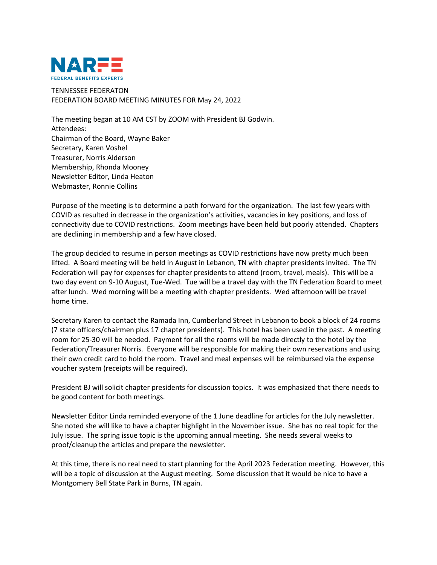

TENNESSEE FEDERATON FEDERATION BOARD MEETING MINUTES FOR May 24, 2022

The meeting began at 10 AM CST by ZOOM with President BJ Godwin. Attendees: Chairman of the Board, Wayne Baker Secretary, Karen Voshel Treasurer, Norris Alderson Membership, Rhonda Mooney Newsletter Editor, Linda Heaton Webmaster, Ronnie Collins

Purpose of the meeting is to determine a path forward for the organization. The last few years with COVID as resulted in decrease in the organization's activities, vacancies in key positions, and loss of connectivity due to COVID restrictions. Zoom meetings have been held but poorly attended. Chapters are declining in membership and a few have closed.

The group decided to resume in person meetings as COVID restrictions have now pretty much been lifted. A Board meeting will be held in August in Lebanon, TN with chapter presidents invited. The TN Federation will pay for expenses for chapter presidents to attend (room, travel, meals). This will be a two day event on 9-10 August, Tue-Wed. Tue will be a travel day with the TN Federation Board to meet after lunch. Wed morning will be a meeting with chapter presidents. Wed afternoon will be travel home time.

Secretary Karen to contact the Ramada Inn, Cumberland Street in Lebanon to book a block of 24 rooms (7 state officers/chairmen plus 17 chapter presidents). This hotel has been used in the past. A meeting room for 25-30 will be needed. Payment for all the rooms will be made directly to the hotel by the Federation/Treasurer Norris. Everyone will be responsible for making their own reservations and using their own credit card to hold the room. Travel and meal expenses will be reimbursed via the expense voucher system (receipts will be required).

President BJ will solicit chapter presidents for discussion topics. It was emphasized that there needs to be good content for both meetings.

Newsletter Editor Linda reminded everyone of the 1 June deadline for articles for the July newsletter. She noted she will like to have a chapter highlight in the November issue. She has no real topic for the July issue. The spring issue topic is the upcoming annual meeting. She needs several weeks to proof/cleanup the articles and prepare the newsletter.

At this time, there is no real need to start planning for the April 2023 Federation meeting. However, this will be a topic of discussion at the August meeting. Some discussion that it would be nice to have a Montgomery Bell State Park in Burns, TN again.